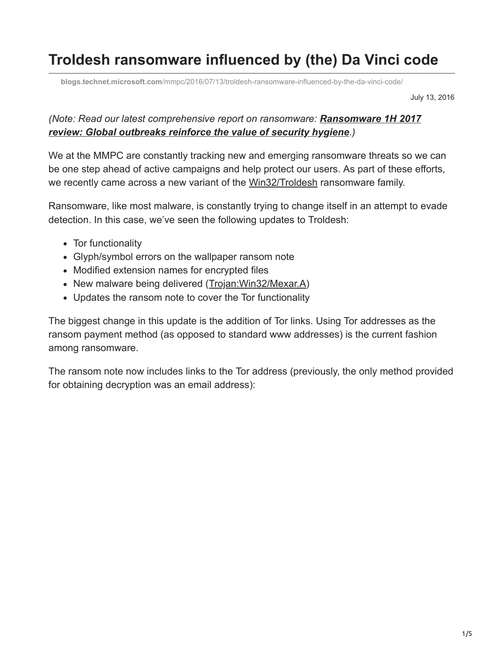# **Troldesh ransomware influenced by (the) Da Vinci code**

**blogs.technet.microsoft.com**[/mmpc/2016/07/13/troldesh-ransomware-influenced-by-the-da-vinci-code/](https://blogs.technet.microsoft.com/mmpc/2016/07/13/troldesh-ransomware-influenced-by-the-da-vinci-code/)

July 13, 2016

#### *(Note: Read our latest comprehensive report on ransomware: Ransomware 1H 2017 [review: Global outbreaks reinforce the value of security hygiene](https://blogs.technet.microsoft.com/mmpc/2017/09/06/ransomware-1h-2017-review-global-outbreaks-reinforce-the-value-of-security-hygiene/).)*

We at the MMPC are constantly tracking new and emerging ransomware threats so we can be one step ahead of active campaigns and help protect our users. As part of these efforts, we recently came across a new variant of the [Win32/Troldesh](https://www.microsoft.com/security/portal/threat/encyclopedia/Entry.aspx?Name=Win32/Troldesh) ransomware family.

Ransomware, like most malware, is constantly trying to change itself in an attempt to evade detection. In this case, we've seen the following updates to Troldesh:

- Tor functionality
- Glyph/symbol errors on the wallpaper ransom note
- Modified extension names for encrypted files
- New malware being delivered (Trojan: Win32/Mexar.A)
- Updates the ransom note to cover the Tor functionality

The biggest change in this update is the addition of Tor links. Using Tor addresses as the ransom payment method (as opposed to standard www addresses) is the current fashion among ransomware.

The ransom note now includes links to the Tor address (previously, the only method provided for obtaining decryption was an email address):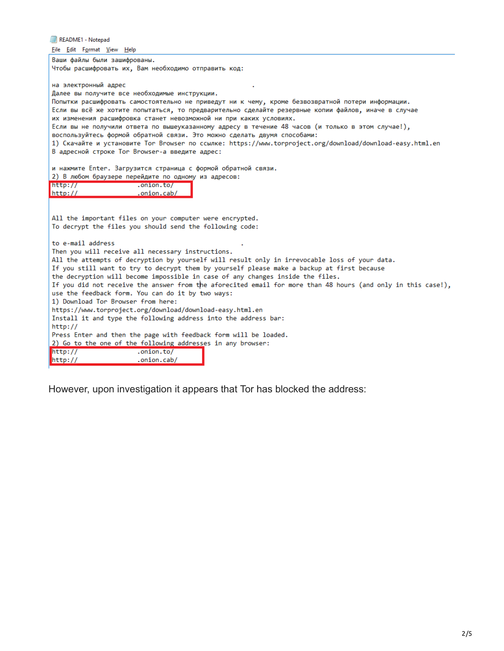README1 - Notepad File Edit Format View Help Ваши файлы были зашифрованы. Чтобы расшифровать их, Вам необходимо отправить код: на электронный адрес Далее вы получите все необходимые инструкции. Попытки расшифровать самостоятельно не приведут ни к чему, кроме безвозвратной потери информации. Если вы всё же хотите попытаться, то предварительно сделайте резервные копии файлов, иначе в случае их изменения расшифровка станет невозможной ни при каких условиях. Если вы не получили ответа по вышеуказанному адресу в течение 48 часов (и только в этом случае!), воспользуйтесь формой обратной связи. Это можно сделать двумя способами: 1) Скачайте и установите Tor Browser по ссылке: https://www.torproject.org/download/download-easy.html.en В адресной строке Tor Browser-а введите адрес: и нажмите Enter. Загрузится страница с формой обратной связи. 2) В любом браузере перейдите по одному из адресов:  $http://$ .onion.to/  $http://$ .onion.cab/ All the important files on your computer were encrypted. To decrypt the files you should send the following code: to e-mail address Then you will receive all necessary instructions. All the attempts of decryption by yourself will result only in irrevocable loss of your data. If you still want to try to decrypt them by yourself please make a backup at first because the decryption will become impossible in case of any changes inside the files. If you did not receive the answer from the aforecited email for more than 48 hours (and only in this case!), use the feedback form. You can do it by two ways: 1) Download Tor Browser from here: https://www.torproject.org/download/download-easy.html.en Install it and type the following address into the address bar:  $http://$ Press Enter and then the page with feedback form will be loaded. 2) Go to the one of the following addresses in any browser:  $http://$ .onion.to/  $http://$ .onion.cab/

However, upon investigation it appears that Tor has blocked the address: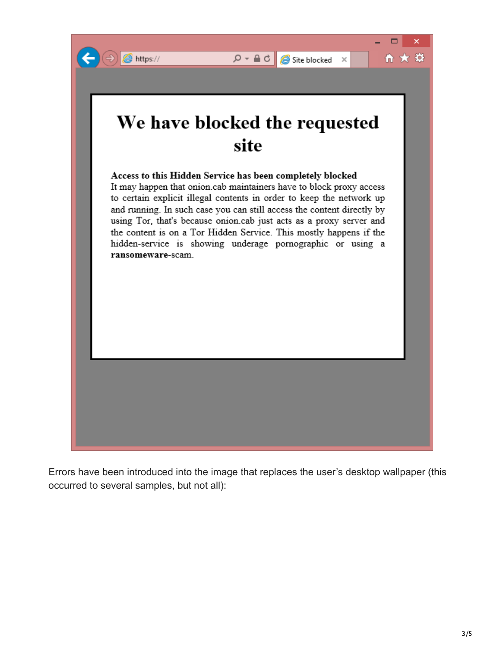

Errors have been introduced into the image that replaces the user's desktop wallpaper (this occurred to several samples, but not all):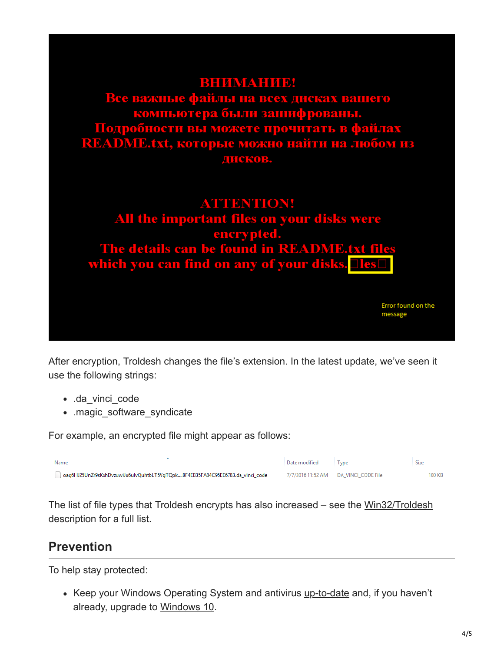

After encryption, Troldesh changes the file's extension. In the latest update, we've seen it use the following strings:

- .da\_vinci\_code
- .magic\_software\_syndicate

For example, an encrypted file might appear as follows:

| Name                                                                            | Date modified | I vpe                                | Size   |
|---------------------------------------------------------------------------------|---------------|--------------------------------------|--------|
| oag6HJ25UnZr9sKxhDvzuwiJu6ulvQuhtbLT5VgTQpk=.BF4EB35FA84C95EE6783.da_vinci_code |               | 7/7/2016 11:52 AM DA VINCI CODE File | 100 KB |

The list of file types that Troldesh encrypts has also increased – see the [Win32/Troldesh](https://www.microsoft.com/security/portal/threat/encyclopedia/Entry.aspx?Name=Win32/Troldesh) description for a full list.

### **Prevention**

To help stay protected:

• Keep your Windows Operating System and antivirus [up-to-date](http://www.microsoft.com/security/portal/mmpc/help/updatesoftware.aspx) and, if you haven't already, upgrade to [Windows 10](https://www.microsoft.com/en-us/windows/windows-10-upgrade).